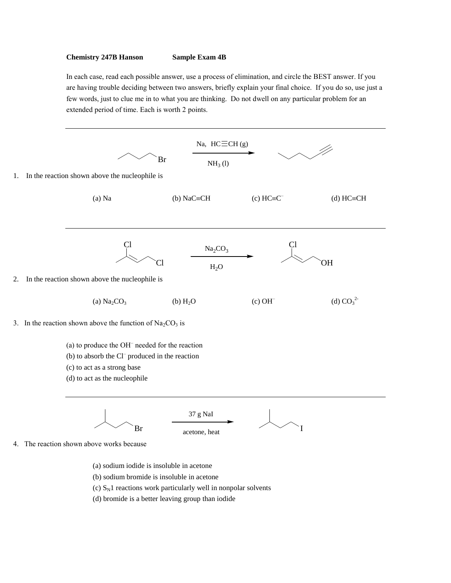## **Chemistry 247B Hanson Sample Exam 4B**

In each case, read each possible answer, use a process of elimination, and circle the BEST answer. If you are having trouble deciding between two answers, briefly explain your final choice. If you do so, use just a few words, just to clue me in to what you are thinking. Do not dwell on any particular problem for an extended period of time. Each is worth 2 points.



(d) bromide is a better leaving group than iodide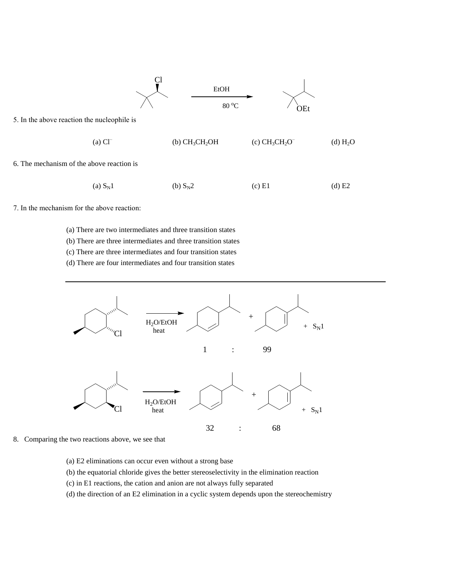

7. In the mechanism for the above reaction:

- (a) There are two intermediates and three transition states
- (b) There are three intermediates and three transition states
- (c) There are three intermediates and four transition states
- (d) There are four intermediates and four transition states



- 8. Comparing the two reactions above, we see that
	- (a) E2 eliminations can occur even without a strong base
	- (b) the equatorial chloride gives the better stereoselectivity in the elimination reaction
	- (c) in E1 reactions, the cation and anion are not always fully separated
	- (d) the direction of an E2 elimination in a cyclic system depends upon the stereochemistry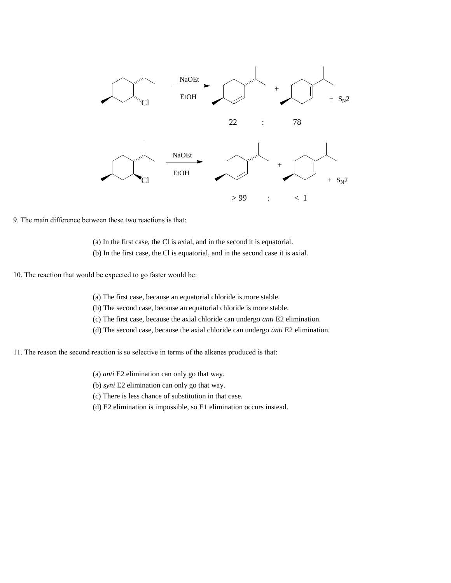

9. The main difference between these two reactions is that:

- (a) In the first case, the Cl is axial, and in the second it is equatorial.
- (b) In the first case, the Cl is equatorial, and in the second case it is axial.
- 10. The reaction that would be expected to go faster would be:
	- (a) The first case, because an equatorial chloride is more stable.
	- (b) The second case, because an equatorial chloride is more stable.
	- (c) The first case, because the axial chloride can undergo *anti* E2 elimination.
	- (d) The second case, because the axial chloride can undergo *anti* E2 elimination.
- 11. The reason the second reaction is so selective in terms of the alkenes produced is that:
	- (a) *anti* E2 elimination can only go that way.
	- (b) *syni* E2 elimination can only go that way.
	- (c) There is less chance of substitution in that case.
	- (d) E2 elimination is impossible, so E1 elimination occurs instead.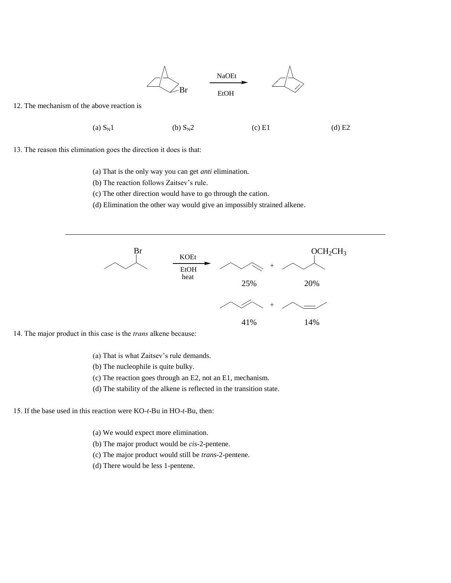

12. The mechanism of the above reaction is

(a)  $S_N1$  (b)  $S_N2$  (c) E1 (d) E2

13. The reason this elimination goes the direction it does is that:

- (a) That is the only way you can get *anti* elimination.
- (b) The reaction follows Zaitsev's rule.
- (c) The other direction would have to go through the cation.
- (d) Elimination the other way would give an impossibly strained alkene.



14. The major product in this case is the *trans* alkene because:

- (a) That is what Zaitsev's rule demands.
- (b) The nucleophile is quite bulky.
- (c) The reaction goes through an E2, not an E1, mechanism.
- (d) The stability of the alkene is reflected in the transition state.

15. If the base used in this reaction were KO-*t*-Bu in HO-*t*-Bu, then:

- (a) We would expect more elimination.
- (b) The major product would be *cis*-2-pentene.
- (c) The major product would still be *trans*-2-pentene.
- (d) There would be less 1-pentene.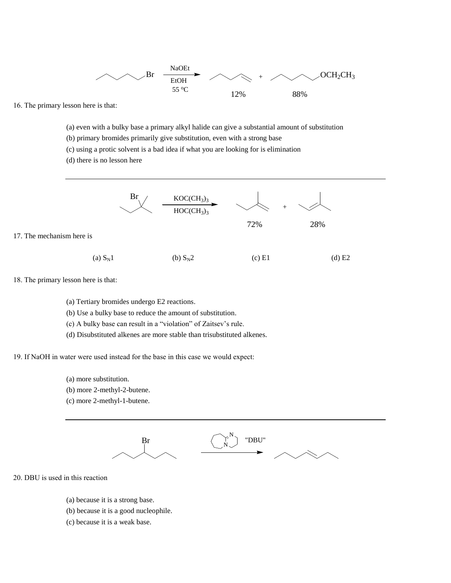

16. The primary lesson here is that:

(a) even with a bulky base a primary alkyl halide can give a substantial amount of substitution

- (b) primary bromides primarily give substitution, even with a strong base
- (c) using a protic solvent is a bad idea if what you are looking for is elimination
- (d) there is no lesson here



- (a)  $S_N1$  (b)  $S_N2$  (c) E1 (d) E2
- 18. The primary lesson here is that:

17. The mechanism here is

- (a) Tertiary bromides undergo E2 reactions.
- (b) Use a bulky base to reduce the amount of substitution.
- (c) A bulky base can result in a "violation" of Zaitsev's rule.
- (d) Disubstituted alkenes are more stable than trisubstituted alkenes.

19. If NaOH in water were used instead for the base in this case we would expect:

- (a) more substitution.
- (b) more 2-methyl-2-butene.
- (c) more 2-methyl-1-butene.



20. DBU is used in this reaction

- (a) because it is a strong base.
- (b) because it is a good nucleophile.
- (c) because it is a weak base.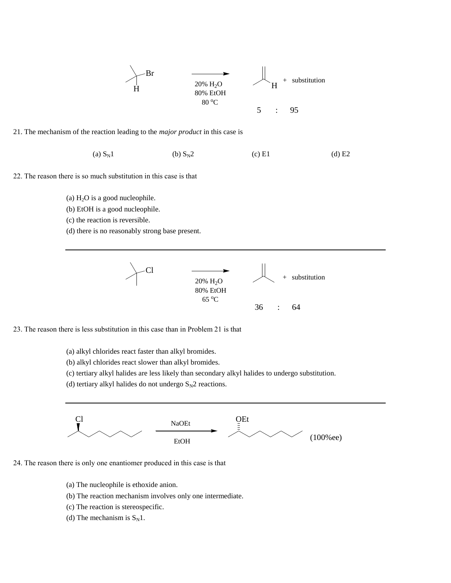

21. The mechanism of the reaction leading to the *major product* in this case is

(a)  $S_N1$  (b)  $S_N2$  (c) E1 (d) E2

- 22. The reason there is so much substitution in this case is that
	- (a)  $H<sub>2</sub>O$  is a good nucleophile.
	- (b) EtOH is a good nucleophile.
	- (c) the reaction is reversible.
	- (d) there is no reasonably strong base present.



23. The reason there is less substitution in this case than in Problem 21 is that

- (a) alkyl chlorides react faster than alkyl bromides.
- (b) alkyl chlorides react slower than alkyl bromides.
- (c) tertiary alkyl halides are less likely than secondary alkyl halides to undergo substitution.
- (d) tertiary alkyl halides do not undergo  $S_N2$  reactions.



- 24. The reason there is only one enantiomer produced in this case is that
	- (a) The nucleophile is ethoxide anion.
	- (b) The reaction mechanism involves only one intermediate.
	- (c) The reaction is stereospecific.
	- (d) The mechanism is  $S_N1$ .